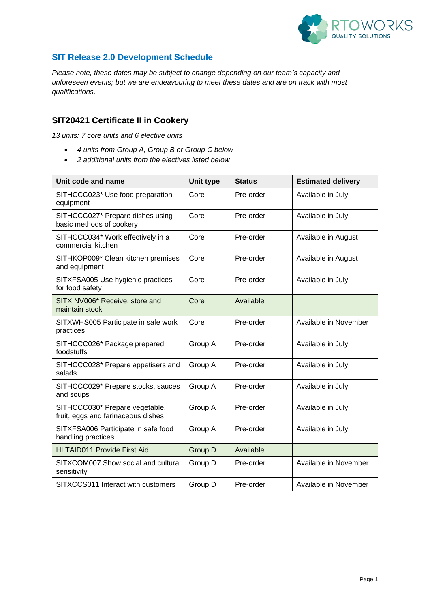

#### **SIT Release 2.0 Development Schedule**

*Please note, these dates may be subject to change depending on our team's capacity and unforeseen events; but we are endeavouring to meet these dates and are on track with most qualifications.*

### **SIT20421 Certificate II in Cookery**

*13 units: 7 core units and 6 elective units*

- *4 units from Group A, Group B or Group C below*
- *2 additional units from the electives listed below*

| Unit code and name                                                   | Unit type | <b>Status</b> | <b>Estimated delivery</b> |
|----------------------------------------------------------------------|-----------|---------------|---------------------------|
| SITHCCC023* Use food preparation<br>equipment                        | Core      | Pre-order     | Available in July         |
| SITHCCC027* Prepare dishes using<br>basic methods of cookery         | Core      | Pre-order     | Available in July         |
| SITHCCC034* Work effectively in a<br>commercial kitchen              | Core      | Pre-order     | Available in August       |
| SITHKOP009* Clean kitchen premises<br>and equipment                  | Core      | Pre-order     | Available in August       |
| SITXFSA005 Use hygienic practices<br>for food safety                 | Core      | Pre-order     | Available in July         |
| SITXINV006* Receive, store and<br>maintain stock                     | Core      | Available     |                           |
| SITXWHS005 Participate in safe work<br>practices                     | Core      | Pre-order     | Available in November     |
| SITHCCC026* Package prepared<br>foodstuffs                           | Group A   | Pre-order     | Available in July         |
| SITHCCC028* Prepare appetisers and<br>salads                         | Group A   | Pre-order     | Available in July         |
| SITHCCC029* Prepare stocks, sauces<br>and soups                      | Group A   | Pre-order     | Available in July         |
| SITHCCC030* Prepare vegetable,<br>fruit, eggs and farinaceous dishes | Group A   | Pre-order     | Available in July         |
| SITXFSA006 Participate in safe food<br>handling practices            | Group A   | Pre-order     | Available in July         |
| <b>HLTAID011 Provide First Aid</b>                                   | Group D   | Available     |                           |
| SITXCOM007 Show social and cultural<br>sensitivity                   | Group D   | Pre-order     | Available in November     |
| SITXCCS011 Interact with customers                                   | Group D   | Pre-order     | Available in November     |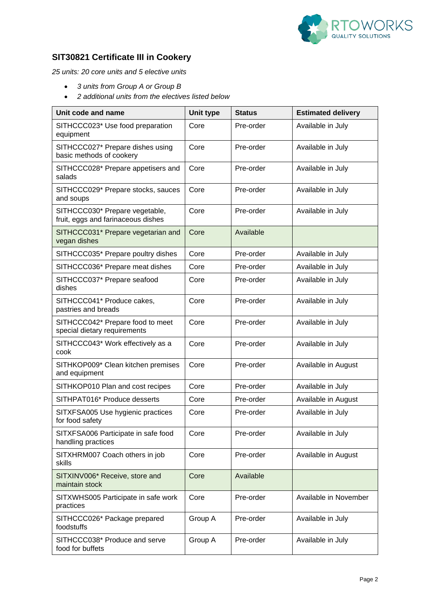

### **SIT30821 Certificate III in Cookery**

*25 units: 20 core units and 5 elective units*

- *3 units from Group A or Group B*
- *2 additional units from the electives listed below*

| Unit code and name                                                   | <b>Unit type</b> | <b>Status</b> | <b>Estimated delivery</b> |
|----------------------------------------------------------------------|------------------|---------------|---------------------------|
| SITHCCC023* Use food preparation<br>equipment                        | Core             | Pre-order     | Available in July         |
| SITHCCC027* Prepare dishes using<br>basic methods of cookery         | Core             | Pre-order     | Available in July         |
| SITHCCC028* Prepare appetisers and<br>salads                         | Core             | Pre-order     | Available in July         |
| SITHCCC029* Prepare stocks, sauces<br>and soups                      | Core             | Pre-order     | Available in July         |
| SITHCCC030* Prepare vegetable,<br>fruit, eggs and farinaceous dishes | Core             | Pre-order     | Available in July         |
| SITHCCC031* Prepare vegetarian and<br>vegan dishes                   | Core             | Available     |                           |
| SITHCCC035* Prepare poultry dishes                                   | Core             | Pre-order     | Available in July         |
| SITHCCC036* Prepare meat dishes                                      | Core             | Pre-order     | Available in July         |
| SITHCCC037* Prepare seafood<br>dishes                                | Core             | Pre-order     | Available in July         |
| SITHCCC041* Produce cakes,<br>pastries and breads                    | Core             | Pre-order     | Available in July         |
| SITHCCC042* Prepare food to meet<br>special dietary requirements     | Core             | Pre-order     | Available in July         |
| SITHCCC043* Work effectively as a<br>cook                            | Core             | Pre-order     | Available in July         |
| SITHKOP009* Clean kitchen premises<br>and equipment                  | Core             | Pre-order     | Available in August       |
| SITHKOP010 Plan and cost recipes                                     | Core             | Pre-order     | Available in July         |
| SITHPAT016* Produce desserts                                         | Core             | Pre-order     | Available in August       |
| SITXFSA005 Use hygienic practices<br>for food safety                 | Core             | Pre-order     | Available in July         |
| SITXFSA006 Participate in safe food<br>handling practices            | Core             | Pre-order     | Available in July         |
| SITXHRM007 Coach others in job<br>skills                             | Core             | Pre-order     | Available in August       |
| SITXINV006* Receive, store and<br>maintain stock                     | Core             | Available     |                           |
| SITXWHS005 Participate in safe work<br>practices                     | Core             | Pre-order     | Available in November     |
| SITHCCC026* Package prepared<br>foodstuffs                           | Group A          | Pre-order     | Available in July         |
| SITHCCC038* Produce and serve<br>food for buffets                    | Group A          | Pre-order     | Available in July         |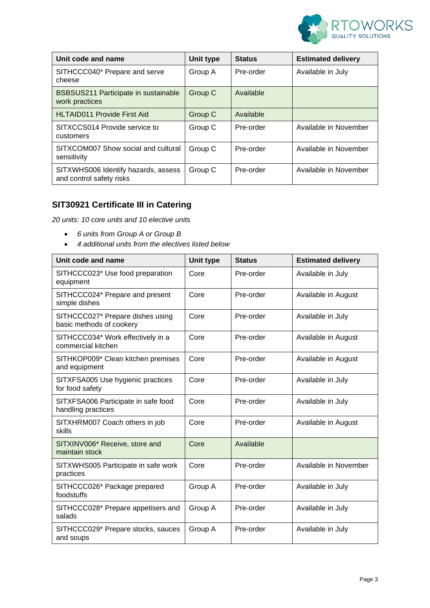

| Unit code and name                                              | Unit type | <b>Status</b> | <b>Estimated delivery</b> |
|-----------------------------------------------------------------|-----------|---------------|---------------------------|
| SITHCCC040* Prepare and serve<br>cheese                         | Group A   | Pre-order     | Available in July         |
| BSBSUS211 Participate in sustainable<br>work practices          | Group C   | Available     |                           |
| <b>HLTAID011 Provide First Aid</b>                              | Group C   | Available     |                           |
| SITXCCS014 Provide service to<br>customers                      | Group C   | Pre-order     | Available in November     |
| SITXCOM007 Show social and cultural<br>sensitivity              | Group C   | Pre-order     | Available in November     |
| SITXWHS006 Identify hazards, assess<br>and control safety risks | Group C   | Pre-order     | Available in November     |

## **SIT30921 Certificate III in Catering**

*20 units: 10 core units and 10 elective units*

- *6 units from Group A or Group B*
- *4 additional units from the electives listed below*

| Unit code and name                                           | Unit type | <b>Status</b> | <b>Estimated delivery</b> |
|--------------------------------------------------------------|-----------|---------------|---------------------------|
| SITHCCC023* Use food preparation<br>equipment                | Core      | Pre-order     | Available in July         |
| SITHCCC024* Prepare and present<br>simple dishes             | Core      | Pre-order     | Available in August       |
| SITHCCC027* Prepare dishes using<br>basic methods of cookery | Core      | Pre-order     | Available in July         |
| SITHCCC034* Work effectively in a<br>commercial kitchen      | Core      | Pre-order     | Available in August       |
| SITHKOP009* Clean kitchen premises<br>and equipment          | Core      | Pre-order     | Available in August       |
| SITXFSA005 Use hygienic practices<br>for food safety         | Core      | Pre-order     | Available in July         |
| SITXFSA006 Participate in safe food<br>handling practices    | Core      | Pre-order     | Available in July         |
| SITXHRM007 Coach others in job<br>skills                     | Core      | Pre-order     | Available in August       |
| SITXINV006* Receive, store and<br>maintain stock             | Core      | Available     |                           |
| SITXWHS005 Participate in safe work<br>practices             | Core      | Pre-order     | Available in November     |
| SITHCCC026* Package prepared<br>foodstuffs                   | Group A   | Pre-order     | Available in July         |
| SITHCCC028* Prepare appetisers and<br>salads                 | Group A   | Pre-order     | Available in July         |
| SITHCCC029* Prepare stocks, sauces<br>and soups              | Group A   | Pre-order     | Available in July         |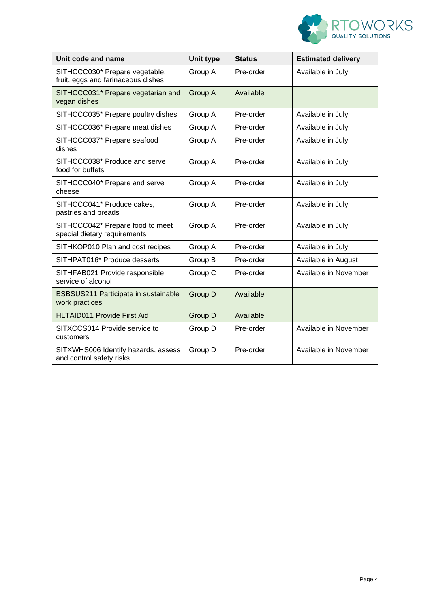

| Unit code and name                                                   | Unit type | <b>Status</b> | <b>Estimated delivery</b> |
|----------------------------------------------------------------------|-----------|---------------|---------------------------|
| SITHCCC030* Prepare vegetable,<br>fruit, eggs and farinaceous dishes | Group A   | Pre-order     | Available in July         |
| SITHCCC031* Prepare vegetarian and<br>vegan dishes                   | Group A   | Available     |                           |
| SITHCCC035* Prepare poultry dishes                                   | Group A   | Pre-order     | Available in July         |
| SITHCCC036* Prepare meat dishes                                      | Group A   | Pre-order     | Available in July         |
| SITHCCC037* Prepare seafood<br>dishes                                | Group A   | Pre-order     | Available in July         |
| SITHCCC038* Produce and serve<br>food for buffets                    | Group A   | Pre-order     | Available in July         |
| SITHCCC040* Prepare and serve<br>cheese                              | Group A   | Pre-order     | Available in July         |
| SITHCCC041* Produce cakes,<br>pastries and breads                    | Group A   | Pre-order     | Available in July         |
| SITHCCC042* Prepare food to meet<br>special dietary requirements     | Group A   | Pre-order     | Available in July         |
| SITHKOP010 Plan and cost recipes                                     | Group A   | Pre-order     | Available in July         |
| SITHPAT016* Produce desserts                                         | Group B   | Pre-order     | Available in August       |
| SITHFAB021 Provide responsible<br>service of alcohol                 | Group C   | Pre-order     | Available in November     |
| BSBSUS211 Participate in sustainable<br>work practices               | Group D   | Available     |                           |
| <b>HLTAID011 Provide First Aid</b>                                   | Group D   | Available     |                           |
| SITXCCS014 Provide service to<br>customers                           | Group D   | Pre-order     | Available in November     |
| SITXWHS006 Identify hazards, assess<br>and control safety risks      | Group D   | Pre-order     | Available in November     |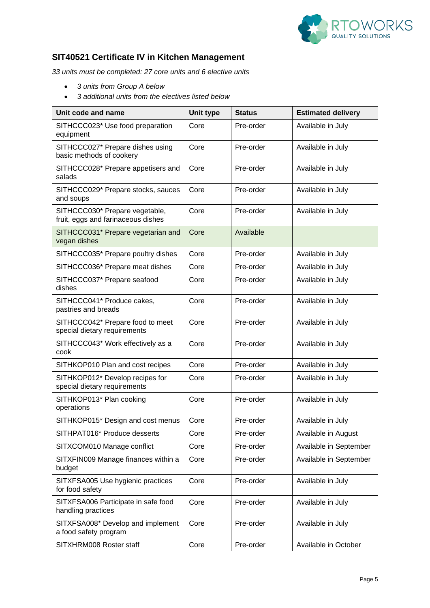

### **SIT40521 Certificate IV in Kitchen Management**

*33 units must be completed: 27 core units and 6 elective units*

- *3 units from Group A below*
- *3 additional units from the electives listed below*

| Unit code and name                                                   | Unit type | <b>Status</b> | <b>Estimated delivery</b> |
|----------------------------------------------------------------------|-----------|---------------|---------------------------|
| SITHCCC023* Use food preparation<br>equipment                        | Core      | Pre-order     | Available in July         |
| SITHCCC027* Prepare dishes using<br>basic methods of cookery         | Core      | Pre-order     | Available in July         |
| SITHCCC028* Prepare appetisers and<br>salads                         | Core      | Pre-order     | Available in July         |
| SITHCCC029* Prepare stocks, sauces<br>and soups                      | Core      | Pre-order     | Available in July         |
| SITHCCC030* Prepare vegetable,<br>fruit, eggs and farinaceous dishes | Core      | Pre-order     | Available in July         |
| SITHCCC031* Prepare vegetarian and<br>vegan dishes                   | Core      | Available     |                           |
| SITHCCC035* Prepare poultry dishes                                   | Core      | Pre-order     | Available in July         |
| SITHCCC036* Prepare meat dishes                                      | Core      | Pre-order     | Available in July         |
| SITHCCC037* Prepare seafood<br>dishes                                | Core      | Pre-order     | Available in July         |
| SITHCCC041* Produce cakes,<br>pastries and breads                    | Core      | Pre-order     | Available in July         |
| SITHCCC042* Prepare food to meet<br>special dietary requirements     | Core      | Pre-order     | Available in July         |
| SITHCCC043* Work effectively as a<br>cook                            | Core      | Pre-order     | Available in July         |
| SITHKOP010 Plan and cost recipes                                     | Core      | Pre-order     | Available in July         |
| SITHKOP012* Develop recipes for<br>special dietary requirements      | Core      | Pre-order     | Available in July         |
| SITHKOP013* Plan cooking<br>operations                               | Core      | Pre-order     | Available in July         |
| SITHKOP015* Design and cost menus                                    | Core      | Pre-order     | Available in July         |
| SITHPAT016* Produce desserts                                         | Core      | Pre-order     | Available in August       |
| SITXCOM010 Manage conflict                                           | Core      | Pre-order     | Available in September    |
| SITXFIN009 Manage finances within a<br>budget                        | Core      | Pre-order     | Available in September    |
| SITXFSA005 Use hygienic practices<br>for food safety                 | Core      | Pre-order     | Available in July         |
| SITXFSA006 Participate in safe food<br>handling practices            | Core      | Pre-order     | Available in July         |
| SITXFSA008* Develop and implement<br>a food safety program           | Core      | Pre-order     | Available in July         |
| SITXHRM008 Roster staff                                              | Core      | Pre-order     | Available in October      |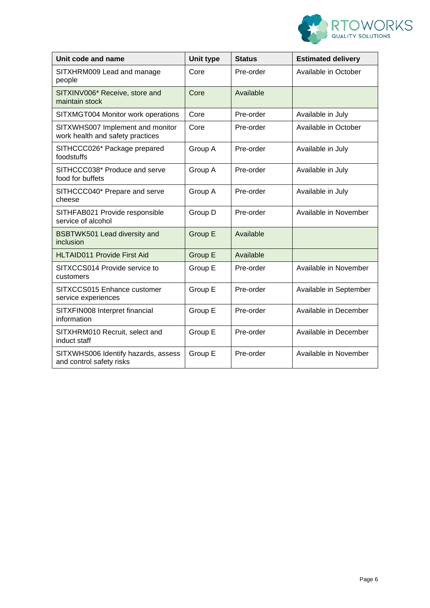

| Unit code and name                                                   | Unit type      | <b>Status</b> | <b>Estimated delivery</b> |
|----------------------------------------------------------------------|----------------|---------------|---------------------------|
| SITXHRM009 Lead and manage<br>people                                 | Core           | Pre-order     | Available in October      |
| SITXINV006* Receive, store and<br>maintain stock                     | Core           | Available     |                           |
| SITXMGT004 Monitor work operations                                   | Core           | Pre-order     | Available in July         |
| SITXWHS007 Implement and monitor<br>work health and safety practices | Core           | Pre-order     | Available in October      |
| SITHCCC026* Package prepared<br>foodstuffs                           | Group A        | Pre-order     | Available in July         |
| SITHCCC038* Produce and serve<br>food for buffets                    | Group A        | Pre-order     | Available in July         |
| SITHCCC040* Prepare and serve<br>cheese                              | Group A        | Pre-order     | Available in July         |
| SITHFAB021 Provide responsible<br>service of alcohol                 | Group D        | Pre-order     | Available in November     |
| <b>BSBTWK501 Lead diversity and</b><br>inclusion                     | Group E        | Available     |                           |
| <b>HLTAID011 Provide First Aid</b>                                   | <b>Group E</b> | Available     |                           |
| SITXCCS014 Provide service to<br>customers                           | Group E        | Pre-order     | Available in November     |
| SITXCCS015 Enhance customer<br>service experiences                   | Group E        | Pre-order     | Available in September    |
| SITXFIN008 Interpret financial<br>information                        | Group E        | Pre-order     | Available in December     |
| SITXHRM010 Recruit, select and<br>induct staff                       | Group E        | Pre-order     | Available in December     |
| SITXWHS006 Identify hazards, assess<br>and control safety risks      | Group E        | Pre-order     | Available in November     |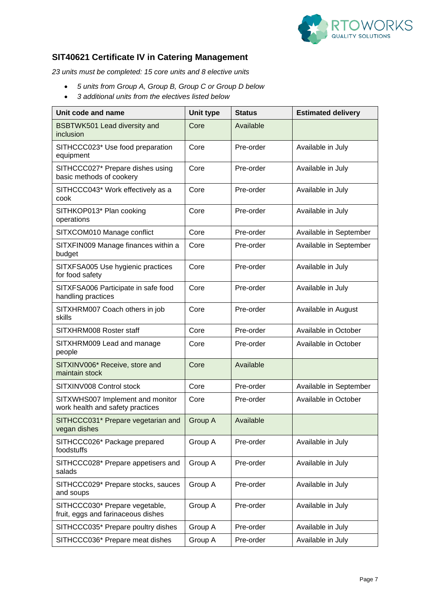

### **SIT40621 Certificate IV in Catering Management**

*23 units must be completed: 15 core units and 8 elective units*

- *5 units from Group A, Group B, Group C or Group D below*
- *3 additional units from the electives listed below*

| Unit code and name                                                   | Unit type | <b>Status</b> | <b>Estimated delivery</b> |
|----------------------------------------------------------------------|-----------|---------------|---------------------------|
| <b>BSBTWK501 Lead diversity and</b><br>inclusion                     | Core      | Available     |                           |
| SITHCCC023* Use food preparation<br>equipment                        | Core      | Pre-order     | Available in July         |
| SITHCCC027* Prepare dishes using<br>basic methods of cookery         | Core      | Pre-order     | Available in July         |
| SITHCCC043* Work effectively as a<br>cook                            | Core      | Pre-order     | Available in July         |
| SITHKOP013* Plan cooking<br>operations                               | Core      | Pre-order     | Available in July         |
| SITXCOM010 Manage conflict                                           | Core      | Pre-order     | Available in September    |
| SITXFIN009 Manage finances within a<br>budget                        | Core      | Pre-order     | Available in September    |
| SITXFSA005 Use hygienic practices<br>for food safety                 | Core      | Pre-order     | Available in July         |
| SITXFSA006 Participate in safe food<br>handling practices            | Core      | Pre-order     | Available in July         |
| SITXHRM007 Coach others in job<br>skills                             | Core      | Pre-order     | Available in August       |
| SITXHRM008 Roster staff                                              | Core      | Pre-order     | Available in October      |
| SITXHRM009 Lead and manage<br>people                                 | Core      | Pre-order     | Available in October      |
| SITXINV006* Receive, store and<br>maintain stock                     | Core      | Available     |                           |
| SITXINV008 Control stock                                             | Core      | Pre-order     | Available in September    |
| SITXWHS007 Implement and monitor<br>work health and safety practices | Core      | Pre-order     | Available in October      |
| SITHCCC031* Prepare vegetarian and<br>vegan dishes                   | Group A   | Available     |                           |
| SITHCCC026* Package prepared<br>foodstuffs                           | Group A   | Pre-order     | Available in July         |
| SITHCCC028* Prepare appetisers and<br>salads                         | Group A   | Pre-order     | Available in July         |
| SITHCCC029* Prepare stocks, sauces<br>and soups                      | Group A   | Pre-order     | Available in July         |
| SITHCCC030* Prepare vegetable,<br>fruit, eggs and farinaceous dishes | Group A   | Pre-order     | Available in July         |
| SITHCCC035* Prepare poultry dishes                                   | Group A   | Pre-order     | Available in July         |
| SITHCCC036* Prepare meat dishes                                      | Group A   | Pre-order     | Available in July         |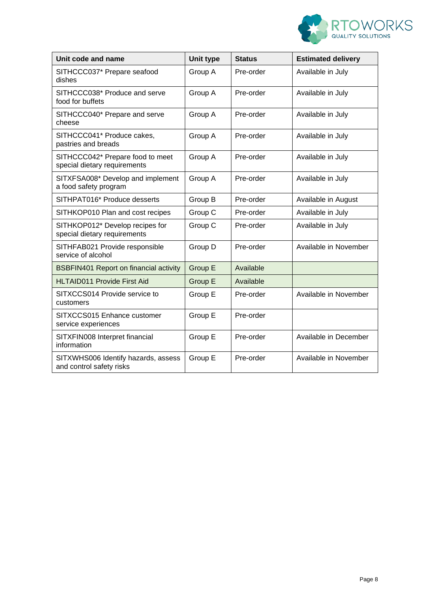

| Unit code and name                                               | Unit type      | <b>Status</b> | <b>Estimated delivery</b> |
|------------------------------------------------------------------|----------------|---------------|---------------------------|
| SITHCCC037* Prepare seafood<br>dishes                            | Group A        | Pre-order     | Available in July         |
| SITHCCC038* Produce and serve<br>food for buffets                | Group A        | Pre-order     | Available in July         |
| SITHCCC040* Prepare and serve<br>cheese                          | Group A        | Pre-order     | Available in July         |
| SITHCCC041* Produce cakes,<br>pastries and breads                | Group A        | Pre-order     | Available in July         |
| SITHCCC042* Prepare food to meet<br>special dietary requirements | Group A        | Pre-order     | Available in July         |
| SITXFSA008* Develop and implement<br>a food safety program       | Group A        | Pre-order     | Available in July         |
| SITHPAT016* Produce desserts                                     | Group B        | Pre-order     | Available in August       |
| SITHKOP010 Plan and cost recipes                                 | Group C        | Pre-order     | Available in July         |
| SITHKOP012* Develop recipes for<br>special dietary requirements  | Group C        | Pre-order     | Available in July         |
| SITHFAB021 Provide responsible<br>service of alcohol             | Group D        | Pre-order     | Available in November     |
| <b>BSBFIN401 Report on financial activity</b>                    | <b>Group E</b> | Available     |                           |
| <b>HLTAID011 Provide First Aid</b>                               | Group E        | Available     |                           |
| SITXCCS014 Provide service to<br>customers                       | Group E        | Pre-order     | Available in November     |
| SITXCCS015 Enhance customer<br>service experiences               | Group E        | Pre-order     |                           |
| SITXFIN008 Interpret financial<br>information                    | Group E        | Pre-order     | Available in December     |
| SITXWHS006 Identify hazards, assess<br>and control safety risks  | Group E        | Pre-order     | Available in November     |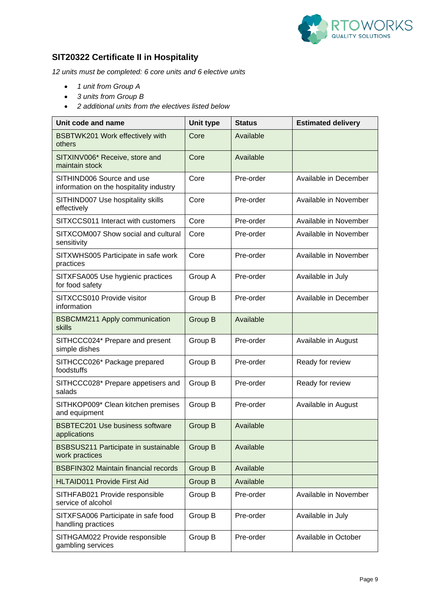

## **SIT20322 Certificate II in Hospitality**

*12 units must be completed: 6 core units and 6 elective units*

- *1 unit from Group A*
- *3 units from Group B*
- *2 additional units from the electives listed below*

| Unit code and name                                                   | <b>Unit type</b> | <b>Status</b> | <b>Estimated delivery</b> |
|----------------------------------------------------------------------|------------------|---------------|---------------------------|
| BSBTWK201 Work effectively with<br>others                            | Core             | Available     |                           |
| SITXINV006* Receive, store and<br>maintain stock                     | Core             | Available     |                           |
| SITHIND006 Source and use<br>information on the hospitality industry | Core             | Pre-order     | Available in December     |
| SITHIND007 Use hospitality skills<br>effectively                     | Core             | Pre-order     | Available in November     |
| SITXCCS011 Interact with customers                                   | Core             | Pre-order     | Available in November     |
| SITXCOM007 Show social and cultural<br>sensitivity                   | Core             | Pre-order     | Available in November     |
| SITXWHS005 Participate in safe work<br>practices                     | Core             | Pre-order     | Available in November     |
| SITXFSA005 Use hygienic practices<br>for food safety                 | Group A          | Pre-order     | Available in July         |
| SITXCCS010 Provide visitor<br>information                            | Group B          | Pre-order     | Available in December     |
| <b>BSBCMM211 Apply communication</b><br>skills                       | Group B          | Available     |                           |
| SITHCCC024* Prepare and present<br>simple dishes                     | Group B          | Pre-order     | Available in August       |
| SITHCCC026* Package prepared<br>foodstuffs                           | Group B          | Pre-order     | Ready for review          |
| SITHCCC028* Prepare appetisers and<br>salads                         | Group B          | Pre-order     | Ready for review          |
| SITHKOP009* Clean kitchen premises<br>and equipment                  | Group B          | Pre-order     | Available in August       |
| <b>BSBTEC201 Use business software</b><br>applications               | Group B          | Available     |                           |
| BSBSUS211 Participate in sustainable<br>work practices               | Group B          | Available     |                           |
| <b>BSBFIN302 Maintain financial records</b>                          | <b>Group B</b>   | Available     |                           |
| <b>HLTAID011 Provide First Aid</b>                                   | Group B          | Available     |                           |
| SITHFAB021 Provide responsible<br>service of alcohol                 | Group B          | Pre-order     | Available in November     |
| SITXFSA006 Participate in safe food<br>handling practices            | Group B          | Pre-order     | Available in July         |
| SITHGAM022 Provide responsible<br>gambling services                  | Group B          | Pre-order     | Available in October      |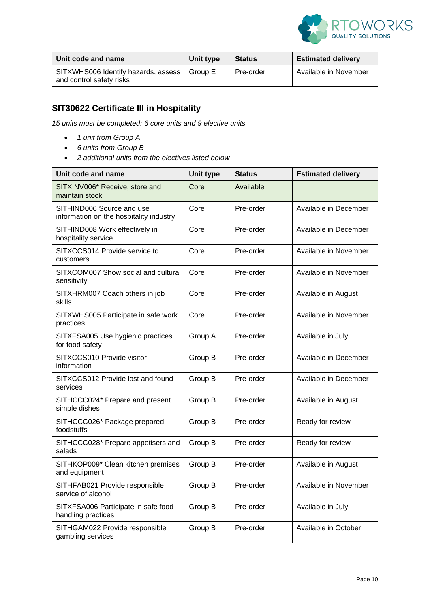

| ∣ Unit code and name                                            | Unit type | Status    | <b>Estimated delivery</b> |
|-----------------------------------------------------------------|-----------|-----------|---------------------------|
| SITXWHS006 Identify hazards, assess<br>and control safety risks | Group E   | Pre-order | Available in November     |

# **SIT30622 Certificate III in Hospitality**

*15 units must be completed: 6 core units and 9 elective units*

- *1 unit from Group A*
- *6 units from Group B*
- *2 additional units from the electives listed below*

| Unit code and name                                                   | <b>Unit type</b> | <b>Status</b> | <b>Estimated delivery</b> |
|----------------------------------------------------------------------|------------------|---------------|---------------------------|
| SITXINV006* Receive, store and<br>maintain stock                     | Core             | Available     |                           |
| SITHIND006 Source and use<br>information on the hospitality industry | Core             | Pre-order     | Available in December     |
| SITHIND008 Work effectively in<br>hospitality service                | Core             | Pre-order     | Available in December     |
| SITXCCS014 Provide service to<br>customers                           | Core             | Pre-order     | Available in November     |
| SITXCOM007 Show social and cultural<br>sensitivity                   | Core             | Pre-order     | Available in November     |
| SITXHRM007 Coach others in job<br>skills                             | Core             | Pre-order     | Available in August       |
| SITXWHS005 Participate in safe work<br>practices                     | Core             | Pre-order     | Available in November     |
| SITXFSA005 Use hygienic practices<br>for food safety                 | Group A          | Pre-order     | Available in July         |
| SITXCCS010 Provide visitor<br>information                            | Group B          | Pre-order     | Available in December     |
| SITXCCS012 Provide lost and found<br>services                        | Group B          | Pre-order     | Available in December     |
| SITHCCC024* Prepare and present<br>simple dishes                     | Group B          | Pre-order     | Available in August       |
| SITHCCC026* Package prepared<br>foodstuffs                           | Group B          | Pre-order     | Ready for review          |
| SITHCCC028* Prepare appetisers and<br>salads                         | Group B          | Pre-order     | Ready for review          |
| SITHKOP009* Clean kitchen premises<br>and equipment                  | Group B          | Pre-order     | Available in August       |
| SITHFAB021 Provide responsible<br>service of alcohol                 | Group B          | Pre-order     | Available in November     |
| SITXFSA006 Participate in safe food<br>handling practices            | Group B          | Pre-order     | Available in July         |
| SITHGAM022 Provide responsible<br>gambling services                  | Group B          | Pre-order     | Available in October      |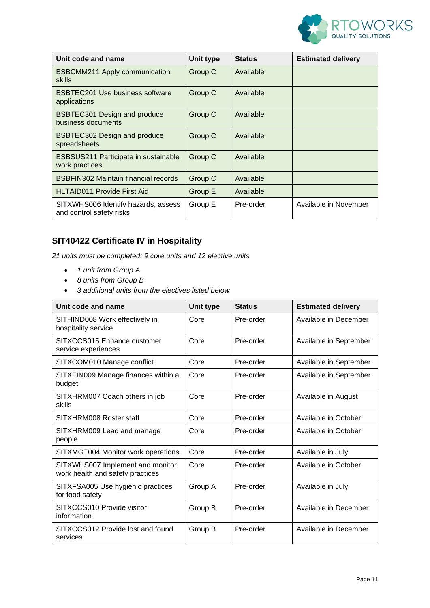

| Unit code and name                                              | Unit type | <b>Status</b> | <b>Estimated delivery</b> |
|-----------------------------------------------------------------|-----------|---------------|---------------------------|
| <b>BSBCMM211 Apply communication</b><br>skills                  | Group C   | Available     |                           |
| <b>BSBTEC201 Use business software</b><br>applications          | Group C   | Available     |                           |
| <b>BSBTEC301 Design and produce</b><br>business documents       | Group C   | Available     |                           |
| <b>BSBTEC302 Design and produce</b><br>spreadsheets             | Group C   | Available     |                           |
| BSBSUS211 Participate in sustainable<br>work practices          | Group C   | Available     |                           |
| <b>BSBFIN302 Maintain financial records</b>                     | Group C   | Available     |                           |
| <b>HLTAID011 Provide First Aid</b>                              | Group E   | Available     |                           |
| SITXWHS006 Identify hazards, assess<br>and control safety risks | Group E   | Pre-order     | Available in November     |

### **SIT40422 Certificate IV in Hospitality**

*21 units must be completed: 9 core units and 12 elective units*

- *1 unit from Group A*
- *8 units from Group B*
- *3 additional units from the electives listed below*

| Unit code and name                                                   | Unit type | <b>Status</b> | <b>Estimated delivery</b> |
|----------------------------------------------------------------------|-----------|---------------|---------------------------|
| SITHIND008 Work effectively in<br>hospitality service                | Core      | Pre-order     | Available in December     |
| SITXCCS015 Enhance customer<br>service experiences                   | Core      | Pre-order     | Available in September    |
| SITXCOM010 Manage conflict                                           | Core      | Pre-order     | Available in September    |
| SITXFIN009 Manage finances within a<br>budget                        | Core      | Pre-order     | Available in September    |
| SITXHRM007 Coach others in job<br>skills                             | Core      | Pre-order     | Available in August       |
| SITXHRM008 Roster staff                                              | Core      | Pre-order     | Available in October      |
| SITXHRM009 Lead and manage<br>people                                 | Core      | Pre-order     | Available in October      |
| SITXMGT004 Monitor work operations                                   | Core      | Pre-order     | Available in July         |
| SITXWHS007 Implement and monitor<br>work health and safety practices | Core      | Pre-order     | Available in October      |
| SITXFSA005 Use hygienic practices<br>for food safety                 | Group A   | Pre-order     | Available in July         |
| SITXCCS010 Provide visitor<br>information                            | Group B   | Pre-order     | Available in December     |
| SITXCCS012 Provide lost and found<br>services                        | Group B   | Pre-order     | Available in December     |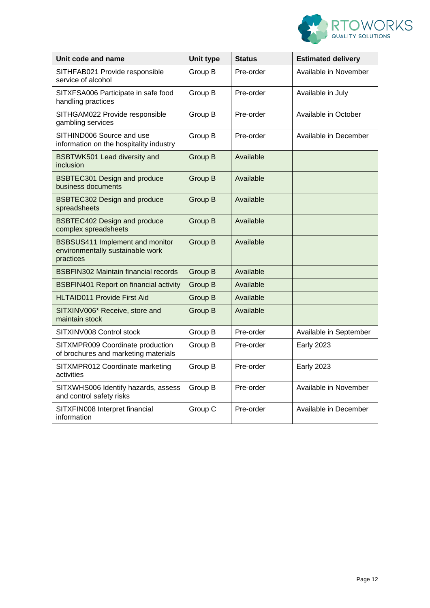

| Unit code and name                                                               | <b>Unit type</b> | <b>Status</b> | <b>Estimated delivery</b> |
|----------------------------------------------------------------------------------|------------------|---------------|---------------------------|
| SITHFAB021 Provide responsible<br>service of alcohol                             | Group B          | Pre-order     | Available in November     |
| SITXFSA006 Participate in safe food<br>handling practices                        | Group B          | Pre-order     | Available in July         |
| SITHGAM022 Provide responsible<br>gambling services                              | Group B          | Pre-order     | Available in October      |
| SITHIND006 Source and use<br>information on the hospitality industry             | Group B          | Pre-order     | Available in December     |
| BSBTWK501 Lead diversity and<br>inclusion                                        | Group B          | Available     |                           |
| <b>BSBTEC301 Design and produce</b><br>business documents                        | Group B          | Available     |                           |
| <b>BSBTEC302 Design and produce</b><br>spreadsheets                              | Group B          | Available     |                           |
| <b>BSBTEC402 Design and produce</b><br>complex spreadsheets                      | Group B          | Available     |                           |
| BSBSUS411 Implement and monitor<br>environmentally sustainable work<br>practices | Group B          | Available     |                           |
| <b>BSBFIN302 Maintain financial records</b>                                      | Group B          | Available     |                           |
| <b>BSBFIN401 Report on financial activity</b>                                    | Group B          | Available     |                           |
| <b>HLTAID011 Provide First Aid</b>                                               | Group B          | Available     |                           |
| SITXINV006* Receive, store and<br>maintain stock                                 | Group B          | Available     |                           |
| SITXINV008 Control stock                                                         | Group B          | Pre-order     | Available in September    |
| SITXMPR009 Coordinate production<br>of brochures and marketing materials         | Group B          | Pre-order     | <b>Early 2023</b>         |
| SITXMPR012 Coordinate marketing<br>activities                                    | Group B          | Pre-order     | <b>Early 2023</b>         |
| SITXWHS006 Identify hazards, assess<br>and control safety risks                  | Group B          | Pre-order     | Available in November     |
| SITXFIN008 Interpret financial<br>information                                    | Group C          | Pre-order     | Available in December     |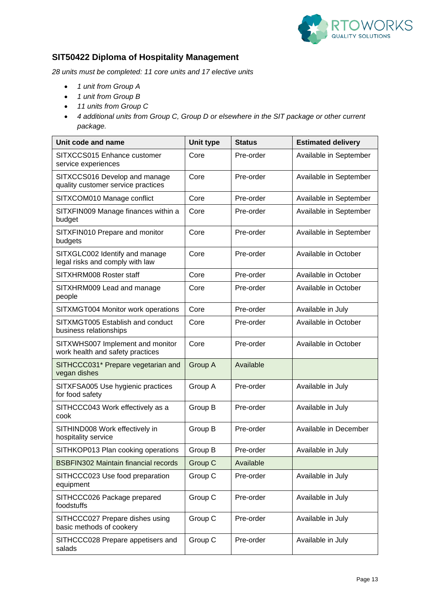

### **SIT50422 Diploma of Hospitality Management**

*28 units must be completed: 11 core units and 17 elective units*

- *1 unit from Group A*
- *1 unit from Group B*
- *11 units from Group C*
- *4 additional units from Group C, Group D or elsewhere in the SIT package or other current package.*

| Unit code and name                                                   | <b>Unit type</b> | <b>Status</b> | <b>Estimated delivery</b> |
|----------------------------------------------------------------------|------------------|---------------|---------------------------|
| SITXCCS015 Enhance customer<br>service experiences                   | Core             | Pre-order     | Available in September    |
| SITXCCS016 Develop and manage<br>quality customer service practices  | Core             | Pre-order     | Available in September    |
| SITXCOM010 Manage conflict                                           | Core             | Pre-order     | Available in September    |
| SITXFIN009 Manage finances within a<br>budget                        | Core             | Pre-order     | Available in September    |
| SITXFIN010 Prepare and monitor<br>budgets                            | Core             | Pre-order     | Available in September    |
| SITXGLC002 Identify and manage<br>legal risks and comply with law    | Core             | Pre-order     | Available in October      |
| SITXHRM008 Roster staff                                              | Core             | Pre-order     | Available in October      |
| SITXHRM009 Lead and manage<br>people                                 | Core             | Pre-order     | Available in October      |
| SITXMGT004 Monitor work operations                                   | Core             | Pre-order     | Available in July         |
| SITXMGT005 Establish and conduct<br>business relationships           | Core             | Pre-order     | Available in October      |
| SITXWHS007 Implement and monitor<br>work health and safety practices | Core             | Pre-order     | Available in October      |
| SITHCCC031* Prepare vegetarian and<br>vegan dishes                   | Group A          | Available     |                           |
| SITXFSA005 Use hygienic practices<br>for food safety                 | Group A          | Pre-order     | Available in July         |
| SITHCCC043 Work effectively as a<br>cook                             | Group B          | Pre-order     | Available in July         |
| SITHIND008 Work effectively in<br>hospitality service                | Group B          | Pre-order     | Available in December     |
| SITHKOP013 Plan cooking operations                                   | Group B          | Pre-order     | Available in July         |
| <b>BSBFIN302 Maintain financial records</b>                          | Group C          | Available     |                           |
| SITHCCC023 Use food preparation<br>equipment                         | Group C          | Pre-order     | Available in July         |
| SITHCCC026 Package prepared<br>foodstuffs                            | Group C          | Pre-order     | Available in July         |
| SITHCCC027 Prepare dishes using<br>basic methods of cookery          | Group C          | Pre-order     | Available in July         |
| SITHCCC028 Prepare appetisers and<br>salads                          | Group C          | Pre-order     | Available in July         |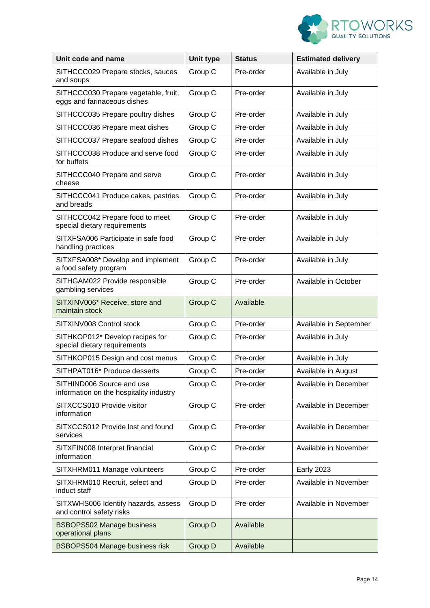

| Unit code and name                                                   | <b>Unit type</b> | <b>Status</b> | <b>Estimated delivery</b> |
|----------------------------------------------------------------------|------------------|---------------|---------------------------|
| SITHCCC029 Prepare stocks, sauces<br>and soups                       | Group C          | Pre-order     | Available in July         |
| SITHCCC030 Prepare vegetable, fruit,<br>eggs and farinaceous dishes  | Group C          | Pre-order     | Available in July         |
| SITHCCC035 Prepare poultry dishes                                    | Group C          | Pre-order     | Available in July         |
| SITHCCC036 Prepare meat dishes                                       | Group C          | Pre-order     | Available in July         |
| SITHCCC037 Prepare seafood dishes                                    | Group C          | Pre-order     | Available in July         |
| SITHCCC038 Produce and serve food<br>for buffets                     | Group C          | Pre-order     | Available in July         |
| SITHCCC040 Prepare and serve<br>cheese                               | Group C          | Pre-order     | Available in July         |
| SITHCCC041 Produce cakes, pastries<br>and breads                     | Group C          | Pre-order     | Available in July         |
| SITHCCC042 Prepare food to meet<br>special dietary requirements      | Group C          | Pre-order     | Available in July         |
| SITXFSA006 Participate in safe food<br>handling practices            | Group C          | Pre-order     | Available in July         |
| SITXFSA008* Develop and implement<br>a food safety program           | Group C          | Pre-order     | Available in July         |
| SITHGAM022 Provide responsible<br>gambling services                  | Group C          | Pre-order     | Available in October      |
| SITXINV006* Receive, store and<br>maintain stock                     | Group C          | Available     |                           |
| SITXINV008 Control stock                                             | Group C          | Pre-order     | Available in September    |
| SITHKOP012* Develop recipes for<br>special dietary requirements      | Group C          | Pre-order     | Available in July         |
| SITHKOP015 Design and cost menus                                     | Group C          | Pre-order     | Available in July         |
| SITHPAT016* Produce desserts                                         | Group C          | Pre-order     | Available in August       |
| SITHIND006 Source and use<br>information on the hospitality industry | Group C          | Pre-order     | Available in December     |
| SITXCCS010 Provide visitor<br>information                            | Group C          | Pre-order     | Available in December     |
| SITXCCS012 Provide lost and found<br>services                        | Group C          | Pre-order     | Available in December     |
| SITXFIN008 Interpret financial<br>information                        | Group C          | Pre-order     | Available in November     |
| SITXHRM011 Manage volunteers                                         | Group C          | Pre-order     | <b>Early 2023</b>         |
| SITXHRM010 Recruit, select and<br>induct staff                       | Group D          | Pre-order     | Available in November     |
| SITXWHS006 Identify hazards, assess<br>and control safety risks      | Group D          | Pre-order     | Available in November     |
| <b>BSBOPS502 Manage business</b><br>operational plans                | Group D          | Available     |                           |
| <b>BSBOPS504 Manage business risk</b>                                | Group D          | Available     |                           |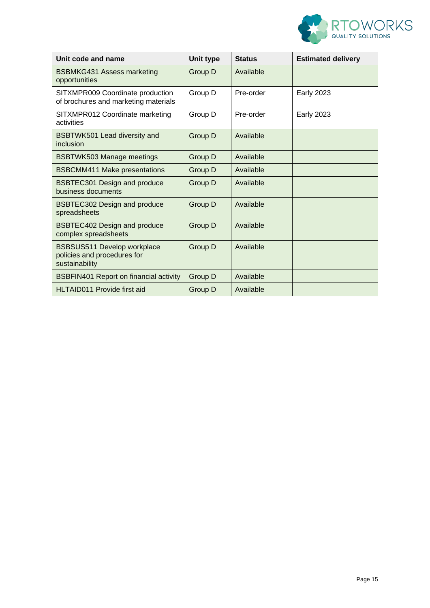

| Unit code and name                                                                  | Unit type | <b>Status</b> | <b>Estimated delivery</b> |
|-------------------------------------------------------------------------------------|-----------|---------------|---------------------------|
| <b>BSBMKG431 Assess marketing</b><br>opportunities                                  | Group D   | Available     |                           |
| SITXMPR009 Coordinate production<br>of brochures and marketing materials            | Group D   | Pre-order     | <b>Early 2023</b>         |
| SITXMPR012 Coordinate marketing<br>activities                                       | Group D   | Pre-order     | <b>Early 2023</b>         |
| BSBTWK501 Lead diversity and<br>inclusion                                           | Group D   | Available     |                           |
| <b>BSBTWK503 Manage meetings</b>                                                    | Group D   | Available     |                           |
| <b>BSBCMM411 Make presentations</b>                                                 | Group D   | Available     |                           |
| <b>BSBTEC301 Design and produce</b><br>business documents                           | Group D   | Available     |                           |
| <b>BSBTEC302 Design and produce</b><br>spreadsheets                                 | Group D   | Available     |                           |
| <b>BSBTEC402 Design and produce</b><br>complex spreadsheets                         | Group D   | Available     |                           |
| <b>BSBSUS511 Develop workplace</b><br>policies and procedures for<br>sustainability | Group D   | Available     |                           |
| <b>BSBFIN401 Report on financial activity</b>                                       | Group D   | Available     |                           |
| <b>HLTAID011 Provide first aid</b>                                                  | Group D   | Available     |                           |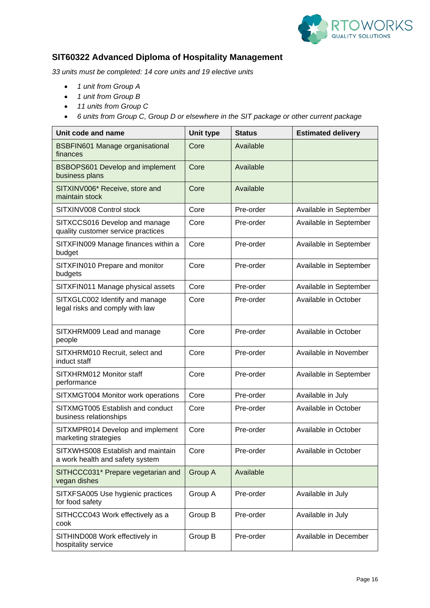

### **SIT60322 Advanced Diploma of Hospitality Management**

*33 units must be completed: 14 core units and 19 elective units*

- *1 unit from Group A*
- *1 unit from Group B*
- *11 units from Group C*
- *6 units from Group C, Group D or elsewhere in the SIT package or other current package*

| Unit code and name                                                   | <b>Unit type</b> | <b>Status</b> | <b>Estimated delivery</b> |
|----------------------------------------------------------------------|------------------|---------------|---------------------------|
| <b>BSBFIN601 Manage organisational</b><br>finances                   | Core             | Available     |                           |
| <b>BSBOPS601 Develop and implement</b><br>business plans             | Core             | Available     |                           |
| SITXINV006* Receive, store and<br>maintain stock                     | Core             | Available     |                           |
| SITXINV008 Control stock                                             | Core             | Pre-order     | Available in September    |
| SITXCCS016 Develop and manage<br>quality customer service practices  | Core             | Pre-order     | Available in September    |
| SITXFIN009 Manage finances within a<br>budget                        | Core             | Pre-order     | Available in September    |
| SITXFIN010 Prepare and monitor<br>budgets                            | Core             | Pre-order     | Available in September    |
| SITXFIN011 Manage physical assets                                    | Core             | Pre-order     | Available in September    |
| SITXGLC002 Identify and manage<br>legal risks and comply with law    | Core             | Pre-order     | Available in October      |
| SITXHRM009 Lead and manage<br>people                                 | Core             | Pre-order     | Available in October      |
| SITXHRM010 Recruit, select and<br>induct staff                       | Core             | Pre-order     | Available in November     |
| SITXHRM012 Monitor staff<br>performance                              | Core             | Pre-order     | Available in September    |
| SITXMGT004 Monitor work operations                                   | Core             | Pre-order     | Available in July         |
| SITXMGT005 Establish and conduct<br>business relationships           | Core             | Pre-order     | Available in October      |
| SITXMPR014 Develop and implement<br>marketing strategies             | Core             | Pre-order     | Available in October      |
| SITXWHS008 Establish and maintain<br>a work health and safety system | Core             | Pre-order     | Available in October      |
| SITHCCC031* Prepare vegetarian and<br>vegan dishes                   | Group A          | Available     |                           |
| SITXFSA005 Use hygienic practices<br>for food safety                 | Group A          | Pre-order     | Available in July         |
| SITHCCC043 Work effectively as a<br>cook                             | Group B          | Pre-order     | Available in July         |
| SITHIND008 Work effectively in<br>hospitality service                | Group B          | Pre-order     | Available in December     |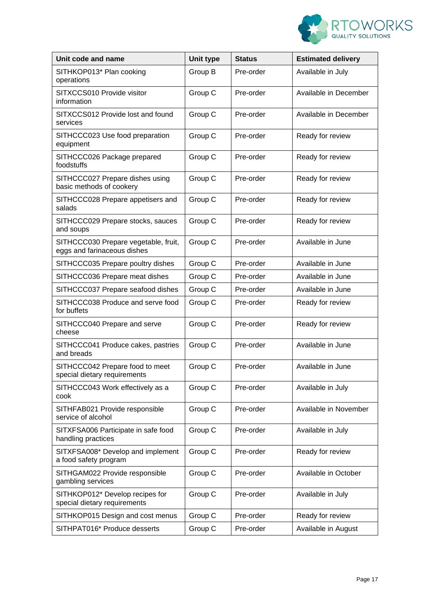

| Unit code and name                                                  | <b>Unit type</b> | <b>Status</b> | <b>Estimated delivery</b> |
|---------------------------------------------------------------------|------------------|---------------|---------------------------|
| SITHKOP013* Plan cooking<br>operations                              | Group B          | Pre-order     | Available in July         |
| SITXCCS010 Provide visitor<br>information                           | Group C          | Pre-order     | Available in December     |
| SITXCCS012 Provide lost and found<br>services                       | Group C          | Pre-order     | Available in December     |
| SITHCCC023 Use food preparation<br>equipment                        | Group C          | Pre-order     | Ready for review          |
| SITHCCC026 Package prepared<br>foodstuffs                           | Group C          | Pre-order     | Ready for review          |
| SITHCCC027 Prepare dishes using<br>basic methods of cookery         | Group C          | Pre-order     | Ready for review          |
| SITHCCC028 Prepare appetisers and<br>salads                         | Group C          | Pre-order     | Ready for review          |
| SITHCCC029 Prepare stocks, sauces<br>and soups                      | Group C          | Pre-order     | Ready for review          |
| SITHCCC030 Prepare vegetable, fruit,<br>eggs and farinaceous dishes | Group C          | Pre-order     | Available in June         |
| SITHCCC035 Prepare poultry dishes                                   | Group C          | Pre-order     | Available in June         |
| SITHCCC036 Prepare meat dishes                                      | Group C          | Pre-order     | Available in June         |
| SITHCCC037 Prepare seafood dishes                                   | Group C          | Pre-order     | Available in June         |
| SITHCCC038 Produce and serve food<br>for buffets                    | Group C          | Pre-order     | Ready for review          |
| SITHCCC040 Prepare and serve<br>cheese                              | Group C          | Pre-order     | Ready for review          |
| SITHCCC041 Produce cakes, pastries<br>and breads                    | Group C          | Pre-order     | Available in June         |
| SITHCCC042 Prepare food to meet<br>special dietary requirements     | Group C          | Pre-order     | Available in June         |
| SITHCCC043 Work effectively as a<br>cook                            | Group C          | Pre-order     | Available in July         |
| SITHFAB021 Provide responsible<br>service of alcohol                | Group C          | Pre-order     | Available in November     |
| SITXFSA006 Participate in safe food<br>handling practices           | Group C          | Pre-order     | Available in July         |
| SITXFSA008* Develop and implement<br>a food safety program          | Group C          | Pre-order     | Ready for review          |
| SITHGAM022 Provide responsible<br>gambling services                 | Group C          | Pre-order     | Available in October      |
| SITHKOP012* Develop recipes for<br>special dietary requirements     | Group C          | Pre-order     | Available in July         |
| SITHKOP015 Design and cost menus                                    | Group C          | Pre-order     | Ready for review          |
| SITHPAT016* Produce desserts                                        | Group C          | Pre-order     | Available in August       |